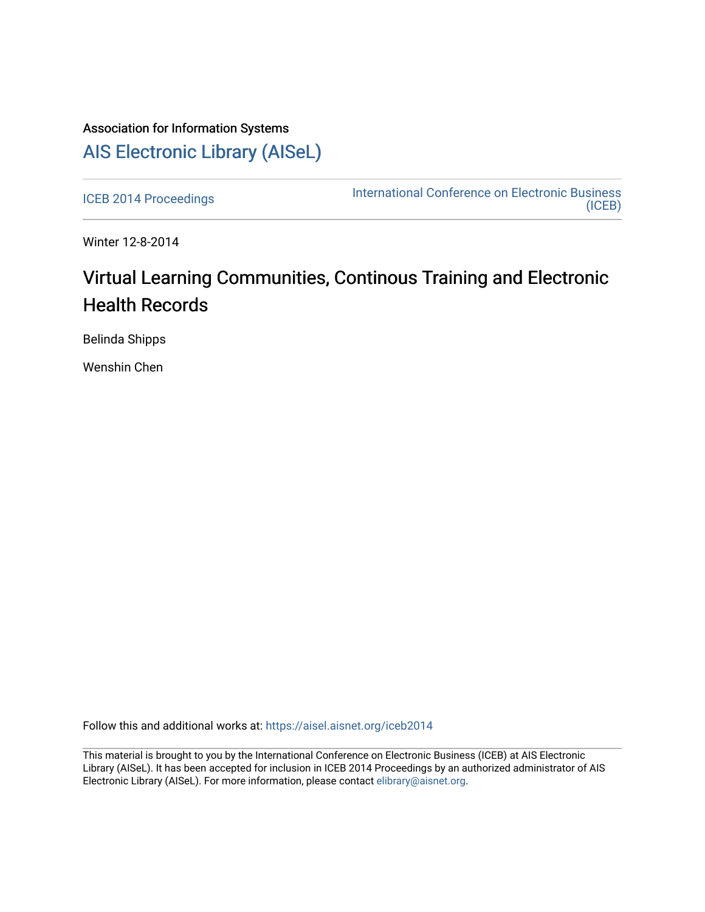## Association for Information Systems [AIS Electronic Library \(AISeL\)](https://aisel.aisnet.org/)

[ICEB 2014 Proceedings](https://aisel.aisnet.org/iceb2014) **International Conference on Electronic Business** [\(ICEB\)](https://aisel.aisnet.org/iceb) 

Winter 12-8-2014

# Virtual Learning Communities, Continous Training and Electronic Health Records

Belinda Shipps

Wenshin Chen

Follow this and additional works at: [https://aisel.aisnet.org/iceb2014](https://aisel.aisnet.org/iceb2014?utm_source=aisel.aisnet.org%2Ficeb2014%2F5&utm_medium=PDF&utm_campaign=PDFCoverPages)

This material is brought to you by the International Conference on Electronic Business (ICEB) at AIS Electronic Library (AISeL). It has been accepted for inclusion in ICEB 2014 Proceedings by an authorized administrator of AIS Electronic Library (AISeL). For more information, please contact [elibrary@aisnet.org.](mailto:elibrary@aisnet.org%3E)